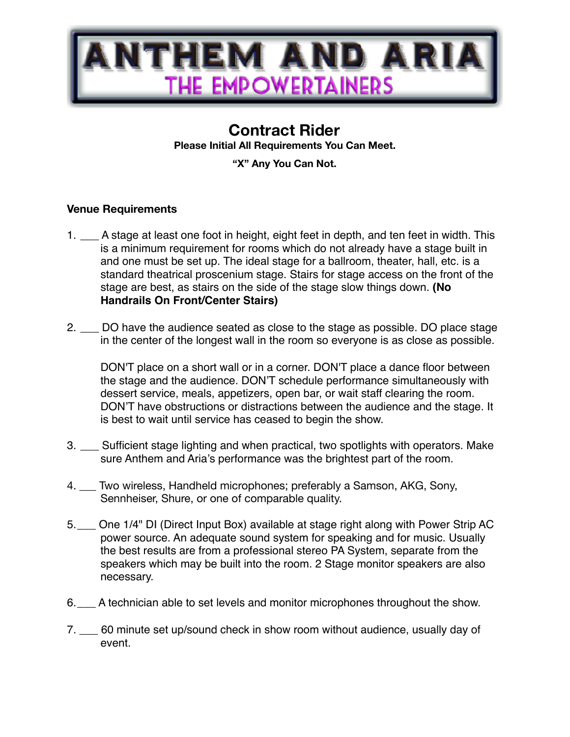

## **Contract Rider**

**Please Initial All Requirements You Can Meet.** 

**"X" Any You Can Not.**

## **Venue Requirements**

- 1. \_\_\_ A stage at least one foot in height, eight feet in depth, and ten feet in width. This is a minimum requirement for rooms which do not already have a stage built in and one must be set up. The ideal stage for a ballroom, theater, hall, etc. is a standard theatrical proscenium stage. Stairs for stage access on the front of the stage are best, as stairs on the side of the stage slow things down. **(No Handrails On Front/Center Stairs)**
- 2. \_\_\_ DO have the audience seated as close to the stage as possible. DO place stage in the center of the longest wall in the room so everyone is as close as possible.

DON'T place on a short wall or in a corner. DON'T place a dance floor between the stage and the audience. DON'T schedule performance simultaneously with dessert service, meals, appetizers, open bar, or wait staff clearing the room. DON'T have obstructions or distractions between the audience and the stage. It is best to wait until service has ceased to begin the show.

- 3. \_\_\_ Sufficient stage lighting and when practical, two spotlights with operators. Make sure Anthem and Aria's performance was the brightest part of the room.
- 4. \_\_\_ Two wireless, Handheld microphones; preferably a Samson, AKG, Sony, Sennheiser, Shure, or one of comparable quality.
- 5.\_\_\_ One 1/4" DI (Direct Input Box) available at stage right along with Power Strip AC power source. An adequate sound system for speaking and for music. Usually the best results are from a professional stereo PA System, separate from the speakers which may be built into the room. 2 Stage monitor speakers are also necessary.
- 6.\_\_\_ A technician able to set levels and monitor microphones throughout the show.
- 7. \_\_\_ 60 minute set up/sound check in show room without audience, usually day of event.